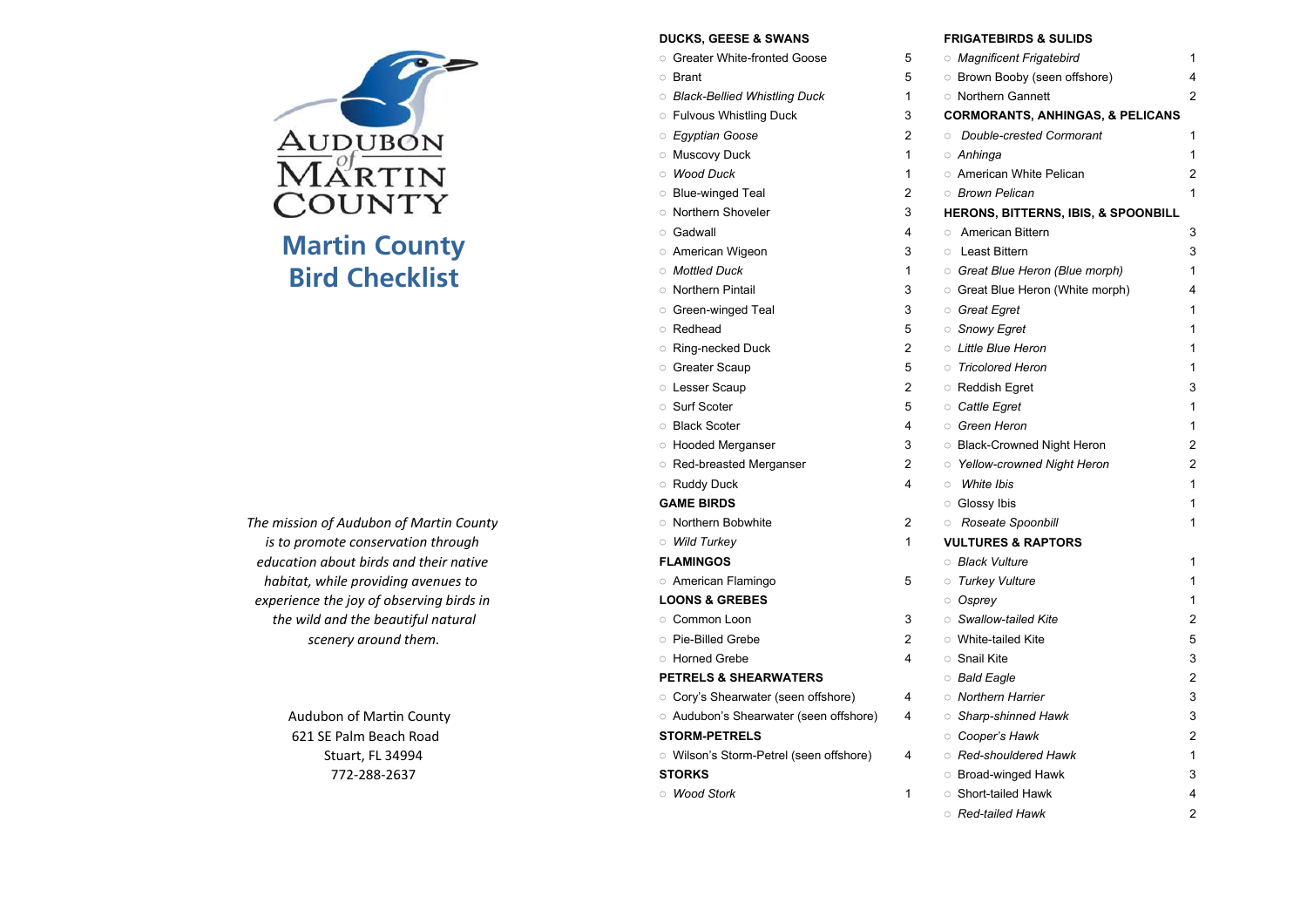

The mission of Audubon of Martin Countyis to promote conservation througheducation about birds and their nativeexperience the joy of observing birds in the wild and the beautiful naturalscenery around them.

## DUCKS, GEESE & SWANS FRIGATEBIRDS & SULIDS

|                                          | טונט. טבבטב ש טווא                       |                |                                             |              |
|------------------------------------------|------------------------------------------|----------------|---------------------------------------------|--------------|
|                                          | <b>Creater White-fronted Goose</b>       | 5              | <b>Magnificent Frigatebird</b>              | 1            |
|                                          | ○ Brant                                  | 5              | <b>Brown Booby (seen offshore)</b>          |              |
|                                          | ○ Black-Bellied Whistling Duck           | 1              | <b>Northern Gannett</b>                     |              |
|                                          | <b>Fulvous Whistling Duck</b>            | 3              | <b>CORMORANTS, ANHINGAS, &amp; PELICANS</b> |              |
| Audubon                                  | <i>Egyptian Goose</i>                    | 2              | <b>Double-crested Cormorant</b>             |              |
|                                          | <b>Muscovy Duck</b>                      | $\mathbf{1}$   | ○ Anhinga                                   |              |
| lartin                                   | <b>Wood Duck</b>                         | 1              | <b>American White Pelican</b>               |              |
|                                          | <b>Blue-winged Teal</b>                  | $\overline{2}$ | <b>Brown Pelican</b>                        |              |
| 'OUNTY                                   | <b>Northern Shoveler</b>                 | 3              | HERONS, BITTERNS, IBIS, & SPOONBILL         |              |
|                                          | ○ Gadwall                                | 4              | <b>C</b> American Bittern                   | 3            |
| <b>Martin County</b>                     | <b>American Wigeon</b>                   | 3              | <b>C</b> Least Bittern                      | 3            |
| <b>Bird Checklist</b>                    | <b>Mottled Duck</b>                      | 1              | Great Blue Heron (Blue morph)               |              |
|                                          | <b>Northern Pintail</b>                  | 3              | <b>Great Blue Heron (White morph)</b>       |              |
|                                          | ○ Green-winged Teal                      | 3              | <b>Great Egret</b>                          |              |
|                                          | <b>Redhead</b>                           | 5              | Snowy Egret                                 |              |
|                                          | ○ Ring-necked Duck                       | $\overline{2}$ | <b>C</b> Little Blue Heron                  |              |
|                                          | <b>Greater Scaup</b>                     | 5              | <b>Tricolored Heron</b>                     |              |
|                                          | <b>Lesser Scaup</b>                      | $\overline{2}$ | <b>Reddish Egret</b>                        | 3            |
|                                          | Surf Scoter                              | 5              | <b>Cattle Egret</b>                         |              |
|                                          | <b>Black Scoter</b>                      | 4              | Green Heron                                 | 1            |
|                                          | <b>Hooded Merganser</b>                  | 3              | <b>Black-Crowned Night Heron</b>            |              |
|                                          | Red-breasted Merganser                   | $\overline{2}$ | Yellow-crowned Night Heron                  | 2            |
|                                          | <b>Ruddy Duck</b>                        | 4              | White Ibis<br>$\circ$                       |              |
|                                          | <b>GAME BIRDS</b>                        |                | <b>Glossy Ibis</b>                          |              |
| e mission of Audubon of Martin County    | <b>Northern Bobwhite</b>                 | $\overline{2}$ | <b>Roseate Spoonbill</b>                    |              |
| is to promote conservation through       | <b>Mild Turkey</b>                       | 1              | <b>VULTURES &amp; RAPTORS</b>               |              |
| education about birds and their native   | <b>FLAMINGOS</b>                         |                | <b>Black Vulture</b>                        | 1            |
| habitat, while providing avenues to      | <b>American Flamingo</b>                 | 5              | <b>Turkey Vulture</b>                       | $\mathbf{1}$ |
| experience the joy of observing birds in | <b>LOONS &amp; GREBES</b>                |                | Osprey                                      | 1            |
| the wild and the beautiful natural       | © Common Loon                            | 3              | Swallow-tailed Kite                         | 2            |
| scenery around them.                     | <b>Pie-Billed Grebe</b>                  | $\overline{2}$ | <b>O</b> White-tailed Kite                  | 5            |
|                                          | <b>Horned Grebe</b>                      | 4              | <b>Snail Kite</b>                           | 3            |
|                                          | <b>PETRELS &amp; SHEARWATERS</b>         |                | <b>Bald Eagle</b>                           |              |
|                                          | <b>Cory's Shearwater (seen offshore)</b> | 4              | <b>Morthern Harrier</b>                     | 3            |
| Audubon of Martin County                 | Audubon's Shearwater (seen offshore)     | 4              | Sharp-shinned Hawk                          |              |
| 621 SE Palm Beach Road                   | <b>STORM-PETRELS</b>                     |                | Cooper's Hawk                               |              |
| Stuart, FL 34994                         | Ullson's Storm-Petrel (seen offshore)    | 4              | Red-shouldered Hawk                         |              |
| 772-288-2637                             | <b>STORKS</b>                            |                | <b>Broad-winged Hawk</b>                    | 3            |
|                                          | <b>Mood Stork</b>                        | 1              | Short-tailed Hawk                           | 4            |
|                                          |                                          |                |                                             |              |

○ Red-tailed Hawk  $\kappa$  2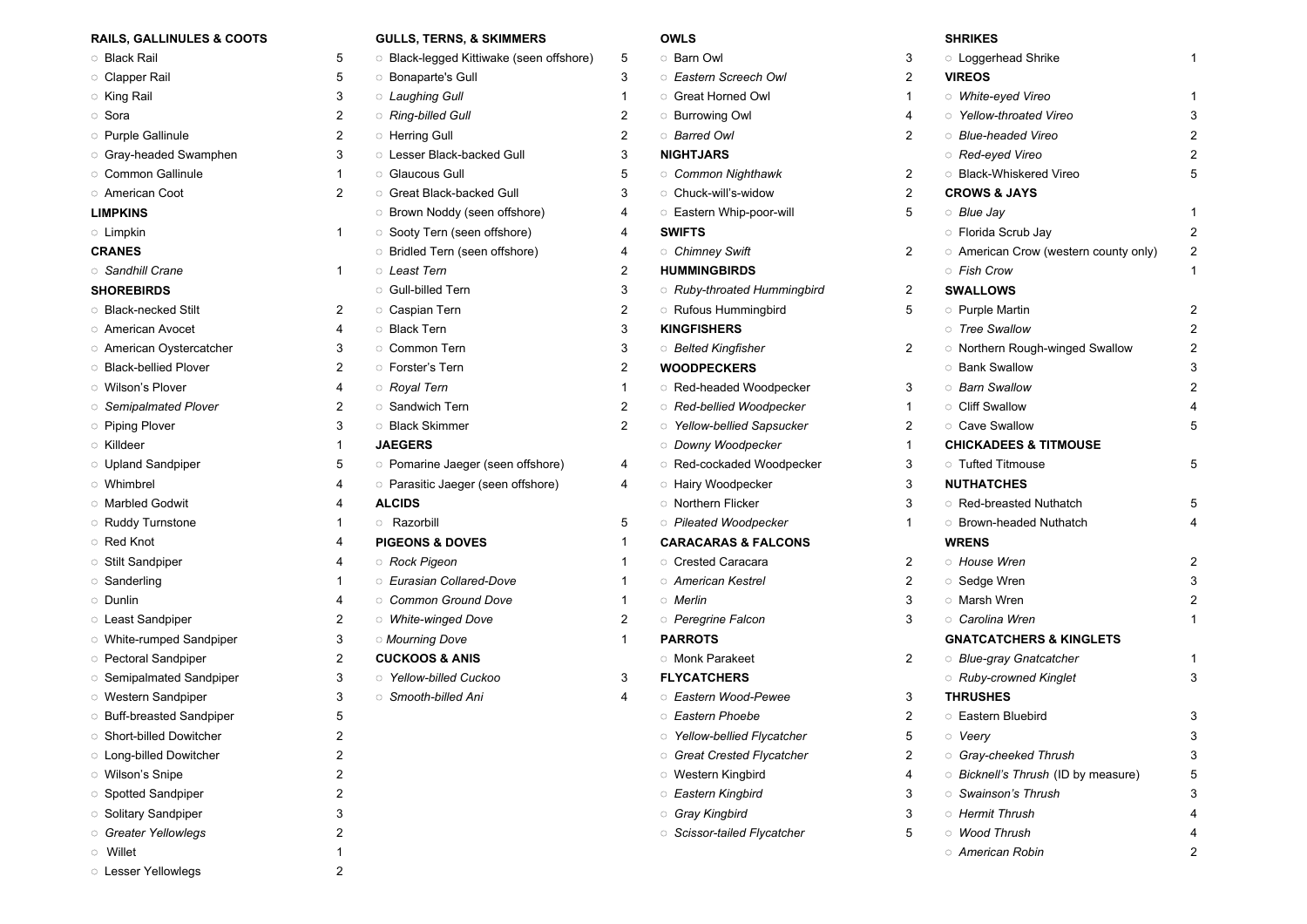| <b>RAILS, GALLINULES &amp; COOTS</b> |                | <b>GULLS, TERNS, &amp; SKIMMERS</b>     |                | <b>OWLS</b>                             |                | <b>SHRIKES</b>                               |   |
|--------------------------------------|----------------|-----------------------------------------|----------------|-----------------------------------------|----------------|----------------------------------------------|---|
| <b>Black Rail</b>                    | 5              | Black-legged Kittiwake (seen offshore)  | 5              | <b>Barn Owl</b>                         | 3              | <b>Coggerhead Shrike</b>                     |   |
| <b>Clapper Rail</b>                  | 5              | <b>Bonaparte's Gull</b>                 | 3              | <b>Eastern Screech Owl</b>              | $\overline{2}$ | <b>VIREOS</b>                                |   |
| <b>King Rail</b>                     | 3              | <b>Laughing Gull</b>                    | $\mathbf{1}$   | <b>Great Horned Owl</b>                 | 1              | <b>Mhite-eyed Vireo</b>                      |   |
| ் Sora                               | 2              | <b>Ring-billed Gull</b>                 | $\overline{2}$ | <b>Burrowing Owl</b>                    | 4              | <b>Yellow-throated Vireo</b>                 |   |
| <b>Purple Gallinule</b>              | 2              | <b>C</b> Herring Gull                   | $\overline{2}$ | <b>Barred Owl</b>                       | $\overline{2}$ | <b>Blue-headed Vireo</b>                     |   |
| <b>Gray-headed Swamphen</b>          | 3              | <b>C</b> Lesser Black-backed Gull       | 3              | <b>NIGHTJARS</b>                        |                | ○ Red-eyed Vireo                             |   |
| <b>Common Gallinule</b>              | 1              | <b>C</b> Glaucous Gull                  | 5              | <b>Common Nighthawk</b>                 | 2              | <b>Black-Whiskered Vireo</b>                 |   |
| <b>American Coot</b>                 | $\overline{2}$ | <b>Great Black-backed Gull</b>          | 3              | Chuck-will's-widow                      | $\overline{2}$ | <b>CROWS &amp; JAYS</b>                      |   |
| <b>LIMPKINS</b>                      |                | <b>Brown Noddy (seen offshore)</b>      | 4              | <b>Eastern Whip-poor-will</b>           | 5              | ○ Blue Jay                                   |   |
| <b>C</b> Limpkin                     | 1              | Sooty Tern (seen offshore)              | 4              | <b>SWIFTS</b>                           |                | <b>Florida Scrub Jay</b>                     |   |
| <b>CRANES</b>                        |                | <b>Bridled Tern (seen offshore)</b>     | 4              | <b>Chimney Swift</b>                    | 2              | <b>C</b> American Crow (western county only) | 2 |
| Sandhill Crane                       | 1              | ○ Least Tern                            | $\overline{2}$ | <b>HUMMINGBIRDS</b>                     |                | ○ Fish Crow                                  |   |
| <b>SHOREBIRDS</b>                    |                | <b>C</b> Gull-billed Tern               | 3              | <b>C</b> Ruby-throated Hummingbird      | 2              | <b>SWALLOWS</b>                              |   |
| <b>Black-necked Stilt</b>            | 2              | Caspian Tern                            | $\overline{c}$ | <b>Rufous Hummingbird</b>               | 5              | <b>Purple Martin</b>                         |   |
| ○ American Avocet                    | 4              | <b>Black Tern</b>                       | 3              | <b>KINGFISHERS</b>                      |                | <b>Tree Swallow</b>                          |   |
| <b>C</b> American Oystercatcher      | 3              | <b>Common Tern</b>                      | 3              | <b>Belted Kingfisher</b>                | $\overline{2}$ | Morthern Rough-winged Swallow                |   |
| <b>Black-bellied Plover</b>          | $\overline{2}$ | <b>Conduct</b> 's Tern                  | $\overline{2}$ | <b>WOODPECKERS</b>                      |                | <b>Bank Swallow</b>                          |   |
| <b>O</b> Wilson's Plover             | 4              | <b>Royal Tern</b>                       | $\mathbf{1}$   | Red-headed Woodpecker                   | 3              | <b><i>Barn Swallow</i></b>                   |   |
| Semipalmated Plover                  | 2              | Sandwich Tern                           | $\overline{c}$ | <sup>o</sup> Red-bellied Woodpecker     | 1              | <b>Cliff Swallow</b>                         |   |
| <b>Piping Plover</b>                 | 3              | <b>Black Skimmer</b>                    | $\overline{2}$ | <b>O</b> Yellow-bellied Sapsucker       | $\overline{2}$ | <b>Cave Swallow</b>                          |   |
| <b>Killdeer</b>                      | 1              | <b>JAEGERS</b>                          |                | O Downy Woodpecker                      | 1              | <b>CHICKADEES &amp; TITMOUSE</b>             |   |
| <b>Upland Sandpiper</b>              | 5              | <b>Pomarine Jaeger (seen offshore)</b>  | 4              | Red-cockaded Woodpecker                 | 3              | <b>Tufted Titmouse</b>                       |   |
| <b>O</b> Whimbrel                    | 4              | <b>Parasitic Jaeger (seen offshore)</b> | 4              | <b>Hairy Woodpecker</b>                 | 3              | <b>NUTHATCHES</b>                            |   |
| <b>Marbled Godwit</b>                | 4              | <b>ALCIDS</b>                           |                | <b>Northern Flicker</b>                 | 3              | Red-breasted Nuthatch                        |   |
| <b>C</b> Ruddy Turnstone             | 1              | <b>Razorbill</b>                        | 5              | <b>Pileated Woodpecker</b>              | 1              | <b>Brown-headed Nuthatch</b>                 |   |
| ○ Red Knot                           | 4              | <b>PIGEONS &amp; DOVES</b>              | $\mathbf{1}$   | <b>CARACARAS &amp; FALCONS</b>          |                | <b>WRENS</b>                                 |   |
| Stilt Sandpiper                      | 4              | Rock Pigeon                             | $\mathbf{1}$   | <b>Crested Caracara</b>                 | 2              | <b>House Wren</b>                            |   |
| Sanderling                           | 1              | <b>Eurasian Collared-Dove</b>           | $\mathbf{1}$   | ം American Kestrel                      | $\overline{2}$ | Sedge Wren                                   |   |
| <b>O</b> Dunlin                      | 4              | Common Ground Dove                      | $\mathbf{1}$   | <i>Merlin</i>                           | 3              | <b>Marsh Wren</b>                            |   |
| <b>Least Sandpiper</b>               | 2              | <b>Mhite-winged Dove</b>                | $\overline{2}$ | <b>Peregrine Falcon</b>                 | 3              | ○ Carolina Wren                              |   |
| <b>O</b> White-rumped Sandpiper      | 3              | <b>Mourning Dove</b>                    | $\mathbf{1}$   | <b>PARROTS</b>                          |                | <b>GNATCATCHERS &amp; KINGLETS</b>           |   |
| <b>Pectoral Sandpiper</b>            | 2              | <b>CUCKOOS &amp; ANIS</b>               |                | <b>Monk Parakeet</b>                    | 2              | <b>Blue-gray Gnatcatcher</b>                 |   |
| <b>Semipalmated Sandpiper</b>        | 3              | <b>S</b> Yellow-billed Cuckoo           | 3              | <b>FLYCATCHERS</b>                      |                | <b>Ruby-crowned Kinglet</b>                  |   |
| <b>O</b> Western Sandpiper           | 3              | Smooth-billed Ani                       | 4              | <b>Eastern Wood-Pewee</b>               | 3              | <b>THRUSHES</b>                              |   |
| <b>Buff-breasted Sandpiper</b>       | 5              |                                         |                | <b>Eastern Phoebe</b>                   | $\overline{2}$ | <b>Eastern Bluebird</b>                      | 3 |
| Short-billed Dowitcher               | 2              |                                         |                | <b>Single Yellow-bellied Flycatcher</b> | 5              | <b>Veery</b>                                 |   |
| <b>C</b> Long-billed Dowitcher       | 2              |                                         |                | <b>Great Crested Flycatcher</b>         | 2              | <b>Gray-cheeked Thrush</b>                   |   |
| <b>O</b> Wilson's Snipe              |                |                                         |                | <b>O</b> Western Kingbird               | 4              | Bicknell's Thrush (ID by measure)            |   |
| Spotted Sandpiper                    | 2              |                                         |                | <b>Eastern Kingbird</b>                 | 3              | <b>Swainson's Thrush</b>                     |   |
| Solitary Sandpiper                   | 3              |                                         |                | <b>Gray Kingbird</b>                    | 3              | <b>B</b> Hermit Thrush                       |   |
| <b>Greater Yellowlegs</b>            | 2              |                                         |                | Scissor-tailed Flycatcher               | 5              | <b>Mood Thrush</b>                           |   |
| <b>Millet</b>                        |                |                                         |                |                                         |                | <b>C</b> American Robin                      |   |
| <b>C</b> Lesser Yellowlegs           | 2              |                                         |                |                                         |                |                                              |   |